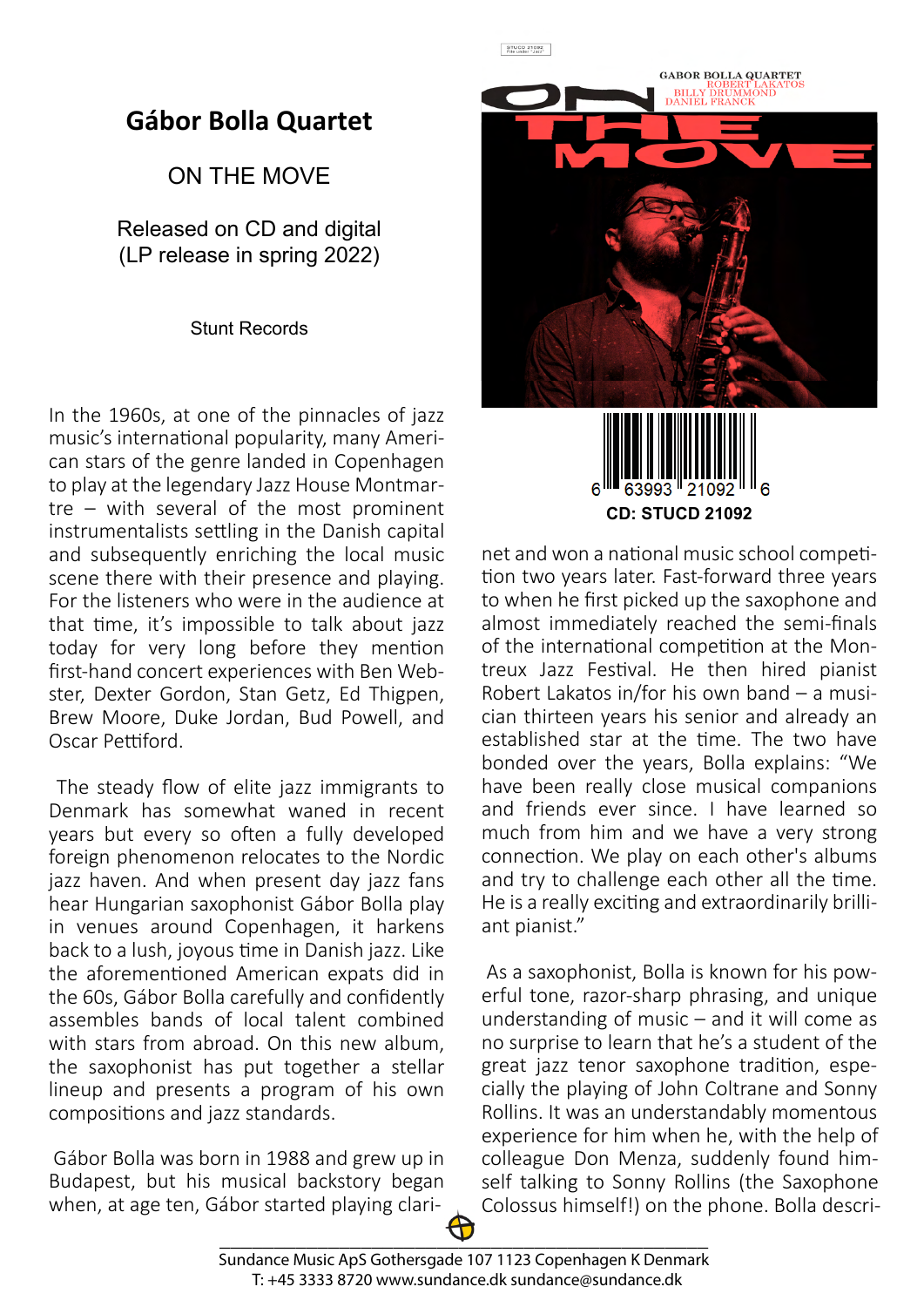## **Gábor Bolla Quartet**

## ON THE MOVE

Released on CD and digital (LP release in spring 2022)

Stunt Records

In the 1960s, at one of the pinnacles of jazz music's international popularity, many American stars of the genre landed in Copenhagen to play at the legendary Jazz House Montmartre – with several of the most prominent instrumentalists settling in the Danish capital and subsequently enriching the local music scene there with their presence and playing. For the listeners who were in the audience at that time, it's impossible to talk about jazz today for very long before they mention first-hand concert experiences with Ben Webster, Dexter Gordon, Stan Getz, Ed Thigpen, Brew Moore, Duke Jordan, Bud Powell, and Oscar Pettiford

 The steady flow of elite jazz immigrants to Denmark has somewhat waned in recent years but every so often a fully developed foreign phenomenon relocates to the Nordic jazz haven. And when present day jazz fans hear Hungarian saxophonist Gábor Bolla play in venues around Copenhagen, it harkens back to a lush, joyous time in Danish jazz. Like the aforementioned American expats did in the 60s, Gábor Bolla carefully and confidently assembles bands of local talent combined with stars from abroad. On this new album, the saxophonist has put together a stellar lineup and presents a program of his own compositions and jazz standards.

 Gábor Bolla was born in 1988 and grew up in Budapest, but his musical backstory began when, at age ten, Gábor started playing clari-



 $\begin{array}{|c|c|}\n\hline\n\text{STUCD 21092} \\
\text{File under "Jazz"}\n\end{array}$ 



net and won a national music school competition two years later. Fast-forward three years to when he first picked up the saxophone and almost immediately reached the semi-finals of the international competition at the Montreux Jazz Festival. He then hired pianist Robert Lakatos in/for his own band – a musician thirteen years his senior and already an established star at the time. The two have bonded over the years, Bolla explains: "We have been really close musical companions and friends ever since. I have learned so much from him and we have a very strong connection. We play on each other's albums and try to challenge each other all the time. He is a really exciting and extraordinarily brilliant pianist."

 As a saxophonist, Bolla is known for his powerful tone, razor-sharp phrasing, and unique understanding of music – and it will come as no surprise to learn that he's a student of the great jazz tenor saxophone tradition, especially the playing of John Coltrane and Sonny Rollins. It was an understandably momentous experience for him when he, with the help of colleague Don Menza, suddenly found himself talking to Sonny Rollins (the Saxophone Colossus himself!) on the phone. Bolla descri